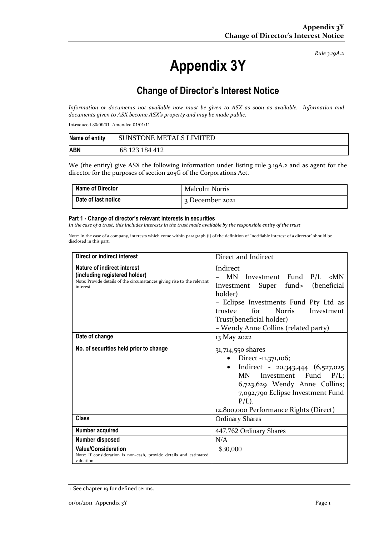*Rule 3.19A.2*

# **Appendix 3Y**

## **Change of Director's Interest Notice**

*Information or documents not available now must be given to ASX as soon as available. Information and documents given to ASX become ASX's property and may be made public.*

Introduced 30/09/01 Amended 01/01/11

| Name of entity | <b>SUNSTONE METALS LIMITED</b> |
|----------------|--------------------------------|
| <b>ABN</b>     | 68 123 184 412                 |

We (the entity) give ASX the following information under listing rule 3.19A.2 and as agent for the director for the purposes of section 205G of the Corporations Act.

| <b>Name of Director</b> | <b>Malcolm Norris</b> |
|-------------------------|-----------------------|
| Date of last notice     | 3 December 2021       |

#### **Part 1 - Change of director's relevant interests in securities**

*In the case of a trust, this includes interests in the trust made available by the responsible entity of the trust*

Note: In the case of a company, interests which come within paragraph (i) of the definition of "notifiable interest of a director" should be disclosed in this part.

| Direct or indirect interest                                                                                                                         | Direct and Indirect                                                                                                                                                                                                                                                          |  |
|-----------------------------------------------------------------------------------------------------------------------------------------------------|------------------------------------------------------------------------------------------------------------------------------------------------------------------------------------------------------------------------------------------------------------------------------|--|
| Nature of indirect interest<br>(including registered holder)<br>Note: Provide details of the circumstances giving rise to the relevant<br>interest. | Indirect<br>MN Investment Fund P/L <mn<br>Super fund&gt; (beneficial<br/>Investment<br/>holder)<br/>- Eclipse Investments Fund Pty Ltd as<br/>for<br/><b>Norris</b><br/>trustee<br/>Investment<br/>Trust(beneficial holder)<br/>- Wendy Anne Collins (related party)</mn<br> |  |
| Date of change                                                                                                                                      | 13 May 2022                                                                                                                                                                                                                                                                  |  |
| No. of securities held prior to change                                                                                                              | 31,714,550 shares<br>Direct -11,371,106;<br>$\bullet$<br>Indirect - 20,343,444 (6,527,025)<br>$\bullet$<br>MN Investment Fund P/L;<br>6,723,629 Wendy Anne Collins;<br>7,092,790 Eclipse Investment Fund<br>$P/L$ ).<br>12,800,000 Performance Rights (Direct)               |  |
| Class                                                                                                                                               | <b>Ordinary Shares</b>                                                                                                                                                                                                                                                       |  |
| Number acquired                                                                                                                                     | 447,762 Ordinary Shares                                                                                                                                                                                                                                                      |  |
| Number disposed                                                                                                                                     | N/A                                                                                                                                                                                                                                                                          |  |
| <b>Value/Consideration</b><br>Note: If consideration is non-cash, provide details and estimated<br>valuation                                        | \$30,000                                                                                                                                                                                                                                                                     |  |

<sup>+</sup> See chapter 19 for defined terms.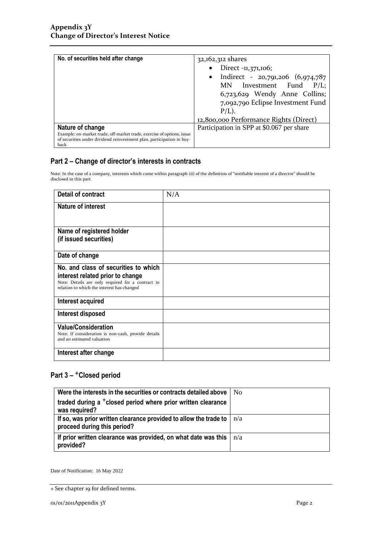| No. of securities held after change                                                                                                                                 | 32,162,312 shares<br>Direct -11,371,106;<br>Indirect - 20,791,206 (6,974,787<br>$\bullet$<br>MN Investment Fund P/L;<br>6,723,629 Wendy Anne Collins;<br>7,092,790 Eclipse Investment Fund<br>$P/L$ ).<br>12,800,000 Performance Rights (Direct) |  |
|---------------------------------------------------------------------------------------------------------------------------------------------------------------------|--------------------------------------------------------------------------------------------------------------------------------------------------------------------------------------------------------------------------------------------------|--|
| Nature of change<br>Example: on-market trade, off-market trade, exercise of options, issue<br>of securities under dividend reinvestment plan, participation in buy- | Participation in SPP at \$0.067 per share                                                                                                                                                                                                        |  |

### **Part 2 – Change of director's interests in contracts**

Note: In the case of a company, interests which come within paragraph (ii) of the definition of "notifiable interest of a director" should be disclosed in this part.

| <b>Detail of contract</b>                                                                                                                                                   | N/A |
|-----------------------------------------------------------------------------------------------------------------------------------------------------------------------------|-----|
| <b>Nature of interest</b>                                                                                                                                                   |     |
| Name of registered holder<br>(if issued securities)                                                                                                                         |     |
| Date of change                                                                                                                                                              |     |
| No. and class of securities to which<br>interest related prior to change<br>Note: Details are only required for a contract in<br>relation to which the interest has changed |     |
| Interest acquired                                                                                                                                                           |     |
| Interest disposed                                                                                                                                                           |     |
| <b>Value/Consideration</b><br>Note: If consideration is non-cash, provide details<br>and an estimated valuation                                                             |     |
| Interest after change                                                                                                                                                       |     |

### **Part 3 –** +**Closed period**

| Were the interests in the securities or contracts detailed above                                 | N <sub>0</sub> |
|--------------------------------------------------------------------------------------------------|----------------|
| traded during a <sup>+</sup> closed period where prior written clearance<br>was required?        |                |
| If so, was prior written clearance provided to allow the trade to<br>proceed during this period? | n/a            |
| If prior written clearance was provided, on what date was this<br>provided?                      | n/a            |

Date of Notification: 16 May 2022

<sup>+</sup> See chapter 19 for defined terms.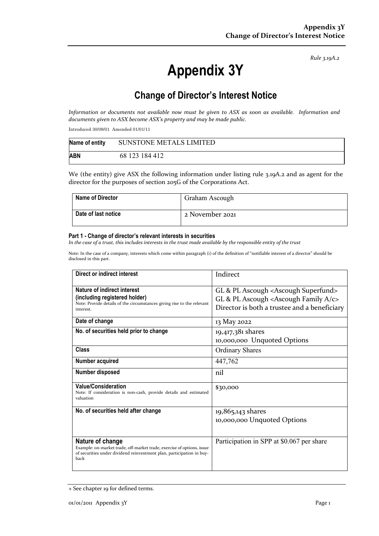*Rule 3.19A.2*

# **Appendix 3Y**

## **Change of Director's Interest Notice**

*Information or documents not available now must be given to ASX as soon as available. Information and documents given to ASX become ASX's property and may be made public.*

Introduced 30/09/01 Amended 01/01/11

| Name of entity | <b>SUNSTONE METALS LIMITED</b> |
|----------------|--------------------------------|
| <b>ABN</b>     | 68 123 184 412                 |

We (the entity) give ASX the following information under listing rule 3.19A.2 and as agent for the director for the purposes of section 205G of the Corporations Act.

| <b>Name of Director</b> | Graham Ascough  |
|-------------------------|-----------------|
| Date of last notice     | 2 November 2021 |

#### **Part 1 - Change of director's relevant interests in securities**

*In the case of a trust, this includes interests in the trust made available by the responsible entity of the trust*

Note: In the case of a company, interests which come within paragraph (i) of the definition of "notifiable interest of a director" should be disclosed in this part.

| Direct or indirect interest                                                                                                                                                 | Indirect                                                                                                                                                                |
|-----------------------------------------------------------------------------------------------------------------------------------------------------------------------------|-------------------------------------------------------------------------------------------------------------------------------------------------------------------------|
| Nature of indirect interest<br>(including registered holder)<br>Note: Provide details of the circumstances giving rise to the relevant<br>interest.                         | GL & PL Ascough <ascough superfund=""><br/>GL &amp; PL Ascough <ascough <math="" family="">A/c&gt;<br/>Director is both a trustee and a beneficiary</ascough></ascough> |
| Date of change                                                                                                                                                              | 13 May 2022                                                                                                                                                             |
| No. of securities held prior to change                                                                                                                                      | 19,417,381 shares<br>10,000,000 Unquoted Options                                                                                                                        |
| <b>Class</b>                                                                                                                                                                | <b>Ordinary Shares</b>                                                                                                                                                  |
| Number acquired                                                                                                                                                             | 447,762                                                                                                                                                                 |
| Number disposed                                                                                                                                                             | nil                                                                                                                                                                     |
| <b>Value/Consideration</b><br>Note: If consideration is non-cash, provide details and estimated<br>valuation                                                                | \$30,000                                                                                                                                                                |
| No. of securities held after change                                                                                                                                         | 19,865,143 shares<br>10,000,000 Unquoted Options                                                                                                                        |
| Nature of change<br>Example: on-market trade, off-market trade, exercise of options, issue<br>of securities under dividend reinvestment plan, participation in buy-<br>back | Participation in SPP at \$0.067 per share                                                                                                                               |

<sup>+</sup> See chapter 19 for defined terms.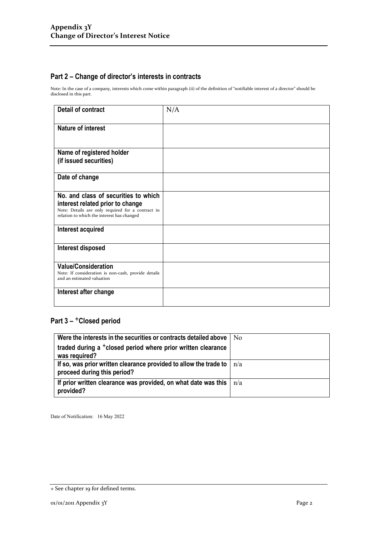### **Part 2 – Change of director's interests in contracts**

Note: In the case of a company, interests which come within paragraph (ii) of the definition of "notifiable interest of a director" should be disclosed in this part.

| <b>Detail of contract</b>                                                                                                                                                   | N/A |
|-----------------------------------------------------------------------------------------------------------------------------------------------------------------------------|-----|
| <b>Nature of interest</b>                                                                                                                                                   |     |
| Name of registered holder<br>(if issued securities)                                                                                                                         |     |
| Date of change                                                                                                                                                              |     |
| No. and class of securities to which<br>interest related prior to change<br>Note: Details are only required for a contract in<br>relation to which the interest has changed |     |
| Interest acquired                                                                                                                                                           |     |
| Interest disposed                                                                                                                                                           |     |
| <b>Value/Consideration</b><br>Note: If consideration is non-cash, provide details<br>and an estimated valuation                                                             |     |
| Interest after change                                                                                                                                                       |     |

### Part 3 - <sup>+</sup>Closed period

| Were the interests in the securities or contracts detailed above                                   | N <sub>0</sub> |
|----------------------------------------------------------------------------------------------------|----------------|
| traded during a <sup>+</sup> closed period where prior written clearance<br>was required?          |                |
| If so, was prior written clearance provided to allow the trade to  <br>proceed during this period? | n/a            |
| If prior written clearance was provided, on what date was this<br>provided?                        | n/a            |

Date of Notification: 16 May 2022

<sup>+</sup> See chapter 19 for defined terms.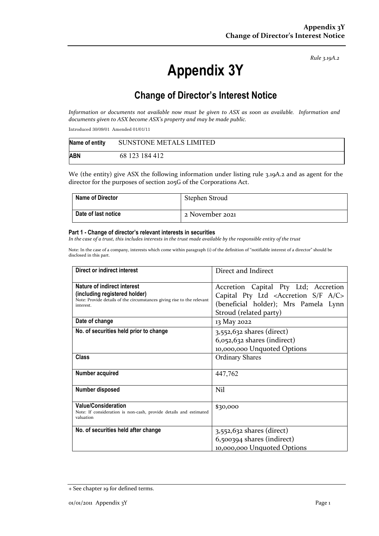*Rule 3.19A.2*

# **Appendix 3Y**

## **Change of Director's Interest Notice**

*Information or documents not available now must be given to ASX as soon as available. Information and documents given to ASX become ASX's property and may be made public.*

Introduced 30/09/01 Amended 01/01/11

| Name of entity | <b>SUNSTONE METALS LIMITED</b> |
|----------------|--------------------------------|
| <b>ABN</b>     | 68 123 184 412                 |

We (the entity) give ASX the following information under listing rule 3.19A.2 and as agent for the director for the purposes of section 205G of the Corporations Act.

| <b>Name of Director</b> | Stephen Stroud  |
|-------------------------|-----------------|
| Date of last notice     | 2 November 2021 |

#### **Part 1 - Change of director's relevant interests in securities**

*In the case of a trust, this includes interests in the trust made available by the responsible entity of the trust*

Note: In the case of a company, interests which come within paragraph (i) of the definition of "notifiable interest of a director" should be disclosed in this part.

| Direct or indirect interest                                                                                                                         | Direct and Indirect                                                                                                                                                     |  |
|-----------------------------------------------------------------------------------------------------------------------------------------------------|-------------------------------------------------------------------------------------------------------------------------------------------------------------------------|--|
| Nature of indirect interest<br>(including registered holder)<br>Note: Provide details of the circumstances giving rise to the relevant<br>interest. | Accretion Capital Pty Ltd; Accretion<br>Capital Pty Ltd <accretion a="" c="" f="" s=""><br/>(beneficial holder); Mrs Pamela Lynn<br/>Stroud (related party)</accretion> |  |
| Date of change                                                                                                                                      | 13 May 2022                                                                                                                                                             |  |
| No. of securities held prior to change                                                                                                              | $3,552,632$ shares (direct)<br>$6,052,632$ shares (indirect)<br>10,000,000 Unquoted Options                                                                             |  |
| Class                                                                                                                                               | <b>Ordinary Shares</b>                                                                                                                                                  |  |
| Number acquired                                                                                                                                     | 447,762                                                                                                                                                                 |  |
| Number disposed                                                                                                                                     | Nil                                                                                                                                                                     |  |
| <b>Value/Consideration</b><br>Note: If consideration is non-cash, provide details and estimated<br>valuation                                        | \$30,000                                                                                                                                                                |  |
| No. of securities held after change                                                                                                                 | 3,552,632 shares (direct)<br>6,500394 shares (indirect)<br>10,000,000 Unquoted Options                                                                                  |  |

<sup>+</sup> See chapter 19 for defined terms.